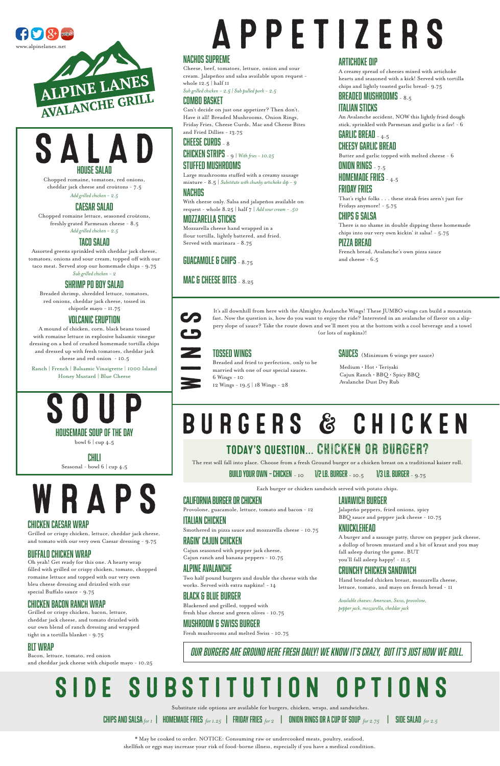# BURGERS & CHICKEN

## APPETIZERS NACHOS SUPREME

Cheese, beef, tomatoes, lettuce, onion and sour cream. Jalapeños and salsa available upon request -

whole 12.5 | half 11

*Sub grilled chicken - 2.5 | Sub pulled pork - 2.5*

COMBO BASKET

Can't decide on just one appetizer? Then don't.

#### Have it all! Breaded Mushrooms, Onion Rings, Friday Fries, Cheese Curds, Mac and Cheese Bites and Fried Dillies - 13.75 CHEESE CURDS - 8 CHICKEN STRIPS - 9 | *With fries - 10.25*

## STUFFED MUSHROOMS

Large mushrooms stuffed with a creamy sausage mixture - 8.5 | *Substitute with chunky artichoke dip - 9*

#### NACHOS

With cheese only. Salsa and jalapeños available on request - whole 8.25 | half 7 | *Add sour cream - .50*

#### MOZZARELLA STICKS

Mozzarella cheese hand wrapped in a flour tortilla, lightly battered, and fried. Served with marinara - 8.75

GUACAMOLE & CHIPS - 8.75

#### MAC & CHEESE BITES - 8.25

#### ARTICHOKE DIP

A creamy spread of cheeses mixed with artichoke hearts and seasoned with a kick! Served with tortilla chips and lightly toasted garlic bread- 9.75

## BREADED MUSHROOMS - 8.5

#### ITALIAN STICKS

An Avalanche accident, NOW this lightly fried dough stick, sprinkled with Parmesan and garlic is a fav! - 6

#### GARLIC BREAD - 4.5 CHEESY GARLIC BREAD

Butter and garlic topped with melted cheese - 6

ONION RINGS  $-7.5$ 

HOMEMADE FRIES - 4.5

#### FRIDAY FRIES

That's right folks . . . these steak fries aren't just for Fridays anymore! - 5.75

#### CHIPS & SALSA

There is no shame in double dipping these homemade chips into our very own kickin' it salsa! - 5.75

#### PIZZA BREAD

French bread, Avalanche's own pizza sauce and cheese - 6.5

bowl 6 | cup 4.5

CHILI Seasonal - bowl 6 | cup 4.5

#### CALIFORNIA BURGER OR CHICKEN

Provolone, guacamole, lettuce, tomato and bacon - 12

#### ITALIAN CHICKEN

## Smothered in pizza sauce and mozzarella cheese - 10.75

RAGIN' CAJUN CHICKEN

Cajun seasoned with pepper jack cheese,



Cajun ranch and banana peppers - 10.75

#### ALPINE AVALANCHE

Two half pound burgers and double the cheese with the works. Served with extra napkins! - 14

#### BLACK & BLUE BURGER

Blackened and grilled, topped with fresh blue cheese and green olives - 10.75

#### MUSHROOM & SWISS BURGER

Fresh mushrooms and melted Swiss - 10.75





Chopped romaine, tomatoes, red onions, cheddar jack cheese and croûtons - 7.5 *Add grilled chicken - 2.5*

CAESAR SALAD

Chopped romaine lettuce, seasoned croûtons, freshly grated Parmesan cheese - 8.5 *Add grilled chicken - 2.5*

#### TACO SALAD

Assorted greens sprinkled with cheddar jack cheese, tomatoes, onions and sour cream, topped off with our taco meat. Served atop our homemade chips - 9.75 *Sub grilled chicken - 2*

SHRIMP PO BOY SALAD

Breaded shrimp, shredded lettuce, tomatoes, red onions, cheddar jack cheese, tossed in chipotle mayo - 11.75

#### VOLCANIC ERUPTION

A mound of chicken, corn, black beans tossed with romaine lettuce in explosive balsamic vinegar dressing on a bed of crushed homemade tortilla chips and dressed up with fresh tomatoes, cheddar jack cheese and red onion - 10.5

Ranch | French | Balsamic Vinaigrette | 1000 Island Honey Mustard | Blue Cheese

## Today's question... Chicken or burger?

The rest will fall into place. Choose from a fresh Ground burger or a chicken breast on a traditional kaiser roll.

BUILD YOUR OWN – CHICKEN –  $_{\rm 10}$  1/2 LB. BURGER –  $_{\rm 10.5}$  1/3 LB. BURGER –  $_{\rm 9.75}$ 

Each burger or chicken sandwich served with potato chips.

LAVAWICH BURGER

Jalapeño peppers, fried onions, spicy BBQ sauce and pepper jack cheese - 10.75

#### KNUCKLEHEAD

A burger and a sausage patty, throw on pepper jack cheese, a dollop of brown mustard and a bit of kraut and you may fall asleep during the game. BUT

you'll fall asleep happy! - 11.5

#### CRUNCHY CHICKEN SANDWICH

Hand breaded chicken breast, mozzarella cheese, lettuce, tomato, and mayo on french bread - 11

*Available cheeses: American, Swiss, provolone, pepper jack, mozzarella, cheddar jack*

\* May be cooked to order. NOTICE: Consuming raw or undercooked meats, poultry, seafood, shellfish or eggs may increase your risk of food-borne illness, especially if you have a medical condition.





It's all downhill from here with the Almighty Avalanche Wings! These JUMBO wings can build a mountain fast. Now the question is, how do you want to enjoy the ride? Interested in an avalanche of flavor on a slippery slope of sauce? Take the route down and we'll meet you at the bottom with a cool beverage and a towel (or lots of napkins)!

#### TOSSED WINGS

Breaded and fried to perfection, only to be

married with one of our special sauces.

6 Wings - 10 12 Wings - 19.5 | 18 Wings - 28 Medium • Hot • Teriyaki Cajun Ranch • BBQ • Spicy BBQ Avalanche Dust Dry Rub

#### SAUCES (Minimum 6 wings per sauce)

*OUR BURGERS ARE GROUND HERE FRESH DAILY! WE KNOW IT'S CRAZY, BUT IT'S JUST HOW WE ROLL.*

W R A P S

## CHICKEN CAESAR WRAP

Grilled or crispy chicken, lettuce, cheddar jack cheese, and tomato with our very own Caesar dressing - 9.75

#### BUFFALO CHICKEN WRAP

Oh yeah! Get ready for this one. A hearty wrap filled with grilled or crispy chicken, tomato, chopped romaine lettuce and topped with our very own bleu cheese dressing and drizzled with our special Buffalo sauce - 9.75

#### CHICKEN BACON RANCH WRAP

Grilled or crispy chicken, bacon, lettuce, cheddar jack cheese, and tomato drizzled with our own blend of ranch dressing and wrapped tight in a tortilla blanket - 9.75

#### BLT WRAP

Bacon, lettuce, tomato, red onion and cheddar jack cheese with chipotle mayo - 10.25

# SIDE SUBSTITUTION OPTIONS

Substitute side options are available for burgers, chicken, wraps, and sandwiches.

CHIPS AND SALSA *for 1* | HOMEMADE FRIES *for 1.25* | FRIDAY FRIES *for 2* | ONION RINGS OR A CUP OF SOUP *for 2.75* | SIDE SALAD *for 2.5*